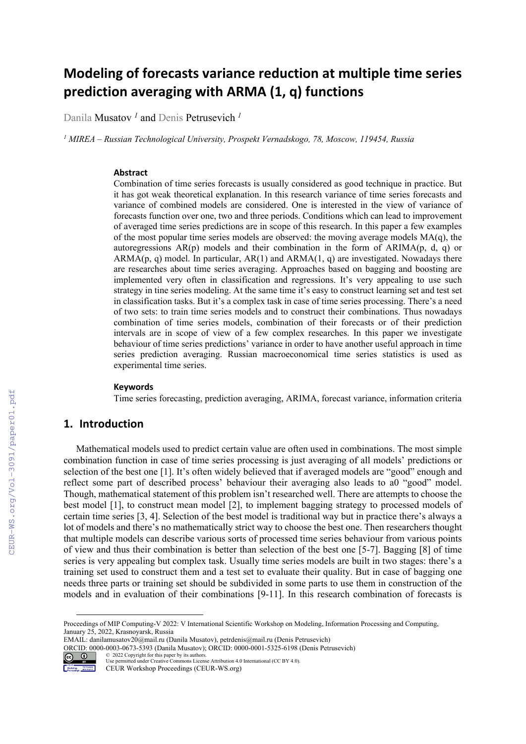# **Modeling of forecasts variance reduction at multiple time series prediction averaging with ARMA (1, q) functions**

Danila Musatov *<sup>1</sup>* and Denis Petrusevich *<sup>1</sup>*

*1 MIREA – Russian Technological University, Prospekt Vernadskogo, 78, Moscow, 119454, Russia* 

#### **Abstract**

Combination of time series forecasts is usually considered as good technique in practice. But it has got weak theoretical explanation. In this research variance of time series forecasts and variance of combined models are considered. One is interested in the view of variance of forecasts function over one, two and three periods. Conditions which can lead to improvement of averaged time series predictions are in scope of this research. In this paper a few examples of the most popular time series models are observed: the moving average models  $MA(q)$ , the autoregressions  $AR(p)$  models and their combination in the form of  $ARIMA(p, d, q)$  or  $ARMA(p, q)$  model. In particular,  $AR(1)$  and  $ARMA(1, q)$  are investigated. Nowadays there are researches about time series averaging. Approaches based on bagging and boosting are implemented very often in classification and regressions. It's very appealing to use such strategy in tine series modeling. At the same time it's easy to construct learning set and test set in classification tasks. But it's a complex task in case of time series processing. There's a need of two sets: to train time series models and to construct their combinations. Thus nowadays combination of time series models, combination of their forecasts or of their prediction intervals are in scope of view of a few complex researches. In this paper we investigate behaviour of time series predictions' variance in order to have another useful approach in time series prediction averaging. Russian macroeconomical time series statistics is used as experimental time series.

#### **Keywords**

Time series forecasting, prediction averaging, ARIMA, forecast variance, information criteria

## **1. Introduction**

Mathematical models used to predict certain value are often used in combinations. The most simple combination function in case of time series processing is just averaging of all models' predictions or selection of the best one [1]. It's often widely believed that if averaged models are "good" enough and reflect some part of described process' behaviour their averaging also leads to a0 "good" model. Though, mathematical statement of this problem isn't researched well. There are attempts to choose the best model [1], to construct mean model [2], to implement bagging strategy to processed models of certain time series [3, 4]. Selection of the best model is traditional way but in practice there's always a lot of models and there's no mathematically strict way to choose the best one. Then researchers thought that multiple models can describe various sorts of processed time series behaviour from various points of view and thus their combination is better than selection of the best one [5-7]. Bagging [8] of time series is very appealing but complex task. Usually time series models are built in two stages: there's a training set used to construct them and a test set to evaluate their quality. But in case of bagging one needs three parts or training set should be subdivided in some parts to use them in construction of the models and in evaluation of their combinations [9-11]. In this research combination of forecasts is

ORCID: 0000-0003-0673-5393 (Danila Musatov); ORCID: 0000-0001-5325-6198 (Denis Petrusevich) © 2022 Copyright for this paper by its authors.



Use permitted under Creative Commons License Attribution 4.0 International (CC BY 4.0). CEUR Workshop Proceedings (CEUR-WS.org)

Proceedings of MIP Computing-V 2022: V International Scientific Workshop on Modeling, Information Processing and Computing, January 25, 2022, Krasnoyarsk, Russia

EMAIL: danilamusatov20@mail.ru (Danila Musatov), petrdenis@mail.ru (Denis Petrusevich)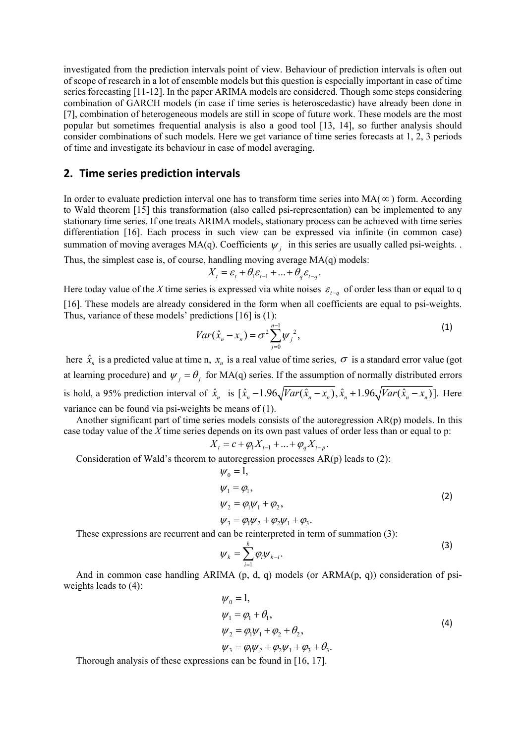investigated from the prediction intervals point of view. Behaviour of prediction intervals is often out of scope of research in a lot of ensemble models but this question is especially important in case of time series forecasting [11-12]. In the paper ARIMA models are considered. Though some steps considering combination of GARCH models (in case if time series is heteroscedastic) have already been done in [7], combination of heterogeneous models are still in scope of future work. These models are the most popular but sometimes frequential analysis is also a good tool [13, 14], so further analysis should consider combinations of such models. Here we get variance of time series forecasts at 1, 2, 3 periods of time and investigate its behaviour in case of model averaging.

#### **2. Time series prediction intervals**

In order to evaluate prediction interval one has to transform time series into  $MA(\infty)$  form. According to Wald theorem [15] this transformation (also called psi-representation) can be implemented to any stationary time series. If one treats ARIMA models, stationary process can be achieved with time series differentiation [16]. Each process in such view can be expressed via infinite (in common case) summation of moving averages MA(q). Coefficients  $\psi_i$  in this series are usually called psi-weights.

Thus, the simplest case is, of course, handling moving average  $MA(q)$  models:

$$
X_t = \varepsilon_t + \theta_1 \varepsilon_{t-1} + \dots + \theta_q \varepsilon_{t-q}.
$$

Here today value of the *X* time series is expressed via white noises  $\varepsilon_{t-a}$  of order less than or equal to q [16]. These models are already considered in the form when all coefficients are equal to psi-weights. Thus, variance of these models' predictions [16] is (1):

$$
Var(\hat{x}_n - x_n) = \sigma^2 \sum_{j=0}^{n-1} W_j^2,
$$
 (1)

here  $\hat{x}_n$  is a predicted value at time n,  $x_n$  is a real value of time series,  $\sigma$  is a standard error value (got at learning procedure) and  $\psi_i = \theta_i$  for MA(q) series. If the assumption of normally distributed errors is hold, a 95% prediction interval of  $\hat{x}_n$  is  $[\hat{x}_n - 1.96\sqrt{Var(\hat{x}_n - x_n)}, \hat{x}_n + 1.96\sqrt{Var(\hat{x}_n - x_n)}]$ . Here variance can be found via psi-weights be means of (1).

Another significant part of time series models consists of the autoregression AR(p) models. In this case today value of the *X* time series depends on its own past values of order less than or equal to p:

$$
X_{t} = c + \varphi_{1} X_{t-1} + \dots + \varphi_{q} X_{t-p}.
$$

Consideration of Wald's theorem to autoregression processes AR(p) leads to (2):

$$
\psi_0 = 1,\n\psi_1 = \varphi_1,\n\psi_2 = \varphi_1 \psi_1 + \varphi_2,\n\psi_3 = \varphi_1 \psi_2 + \varphi_2 \psi_1 + \varphi_3.
$$
\n(2)

These expressions are recurrent and can be reinterpreted in term of summation (3):

$$
\psi_k = \sum_{i=1}^k \varphi_i \psi_{k-i}.
$$
 (3)

And in common case handling ARIMA  $(p, d, q)$  models (or ARMA $(p, q)$ ) consideration of psiweights leads to (4):

$$
\begin{aligned}\n\psi_0 &= 1, \\
\psi_1 &= \varphi_1 + \theta_1, \\
\psi_2 &= \varphi_1 \psi_1 + \varphi_2 + \theta_2, \\
\psi_3 &= \varphi_1 \psi_2 + \varphi_2 \psi_1 + \varphi_3 + \theta_3.\n\end{aligned}
$$
\n(4)

Thorough analysis of these expressions can be found in [16, 17].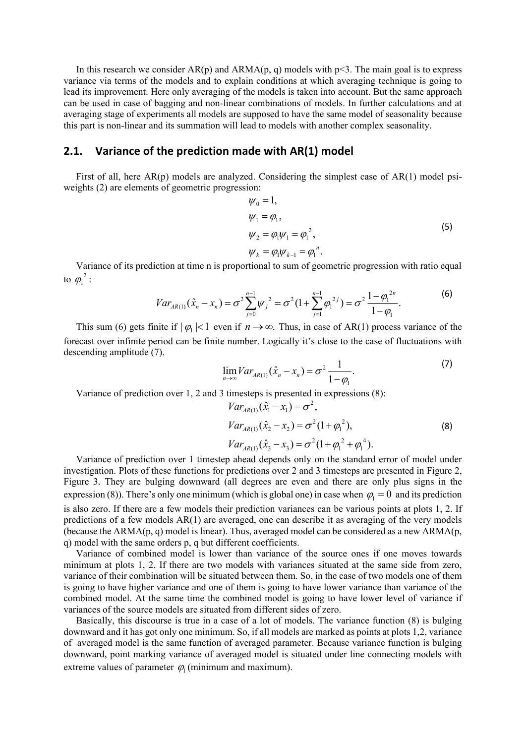In this research we consider  $AR(p)$  and  $ARMA(p, q)$  models with  $p \leq 3$ . The main goal is to express variance via terms of the models and to explain conditions at which averaging technique is going to lead its improvement. Here only averaging of the models is taken into account. But the same approach can be used in case of bagging and non-linear combinations of models. In further calculations and at averaging stage of experiments all models are supposed to have the same model of seasonality because this part is non-linear and its summation will lead to models with another complex seasonality.

## **2.1. Variance of the prediction made with AR(1) model**

First of all, here AR(p) models are analyzed. Considering the simplest case of AR(1) model psiweights (2) are elements of geometric progression:

$$
\psi_0 = 1,\n\psi_1 = \varphi_1,\n\psi_2 = \varphi_1 \psi_1 = \varphi_1^2,\n\psi_k = \varphi_1 \psi_{k-1} = \varphi_1^n.
$$
\n(5)

Variance of its prediction at time n is proportional to sum of geometric progression with ratio equal to  $\varphi_1^2$  :

$$
Var_{AR(1)}(\hat{x}_n - x_n) = \sigma^2 \sum_{j=0}^{n-1} \psi_j^2 = \sigma^2 (1 + \sum_{j=1}^{n-1} \varphi_1^{2j}) = \sigma^2 \frac{1 - \varphi_1^{2n}}{1 - \varphi_1}.
$$
 (6)

This sum (6) gets finite if  $| \varphi_1 |$ <1 even if  $n \to \infty$ . Thus, in case of AR(1) process variance of the forecast over infinite period can be finite number. Logically it's close to the case of fluctuations with descending amplitude (7).

$$
\lim_{n \to \infty} Var_{AR(1)}(\hat{x}_n - x_n) = \sigma^2 \frac{1}{1 - \varphi_1}.
$$
 (7)

Variance of prediction over 1, 2 and 3 timesteps is presented in expressions (8):

$$
Var_{AR(1)}(\hat{x}_1 - x_1) = \sigma^2,
$$
  
\n
$$
Var_{AR(1)}(\hat{x}_2 - x_2) = \sigma^2 (1 + \varphi_1^2),
$$
  
\n
$$
Var_{AR(1)}(\hat{x}_3 - x_3) = \sigma^2 (1 + \varphi_1^2 + \varphi_1^4).
$$
\n(8)

Variance of prediction over 1 timestep ahead depends only on the standard error of model under investigation. Plots of these functions for predictions over 2 and 3 timesteps are presented in Figure 2, Figure 3. They are bulging downward (all degrees are even and there are only plus signs in the expression (8)). There's only one minimum (which is global one) in case when  $\varphi_1 = 0$  and its prediction is also zero. If there are a few models their prediction variances can be various points at plots 1, 2. If predictions of a few models AR(1) are averaged, one can describe it as averaging of the very models (because the ARMA(p, q) model is linear). Thus, averaged model can be considered as a new ARMA(p, q) model with the same orders p, q but different coefficients.

Variance of combined model is lower than variance of the source ones if one moves towards minimum at plots 1, 2. If there are two models with variances situated at the same side from zero, variance of their combination will be situated between them. So, in the case of two models one of them is going to have higher variance and one of them is going to have lower variance than variance of the combined model. At the same time the combined model is going to have lower level of variance if variances of the source models are situated from different sides of zero.

Basically, this discourse is true in a case of a lot of models. The variance function (8) is bulging downward and it has got only one minimum. So, if all models are marked as points at plots 1,2, variance of averaged model is the same function of averaged parameter. Because variance function is bulging downward, point marking variance of averaged model is situated under line connecting models with extreme values of parameter  $\varphi$ <sub>1</sub> (minimum and maximum).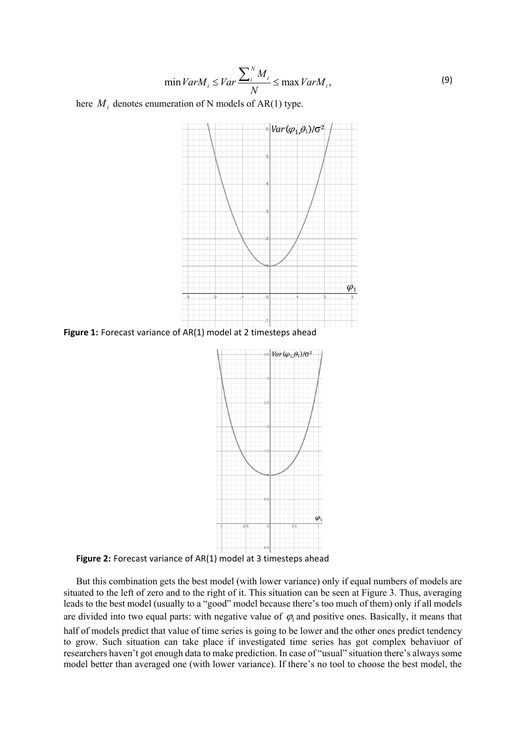$$
\min Var M_i \leq Var \frac{\sum_{i}^{N} M_i}{N} \leq \max Var M_i,
$$
\n(9)

here  $M_i$  denotes enumeration of N models of AR(1) type.



**Figure 1:** Forecast variance of AR(1) model at 2 timesteps ahead



**Figure 2:** Forecast variance of AR(1) model at 3 timesteps ahead

But this combination gets the best model (with lower variance) only if equal numbers of models are situated to the left of zero and to the right of it. This situation can be seen at Figure 3. Thus, averaging leads to the best model (usually to a "good" model because there's too much of them) only if all models are divided into two equal parts: with negative value of  $\varphi$  and positive ones. Basically, it means that half of models predict that value of time series is going to be lower and the other ones predict tendency to grow. Such situation can take place if investigated time series has got complex behaviuor of researchers haven't got enough data to make prediction. In case of "usual" situation there's always some model better than averaged one (with lower variance). If there's no tool to choose the best model, the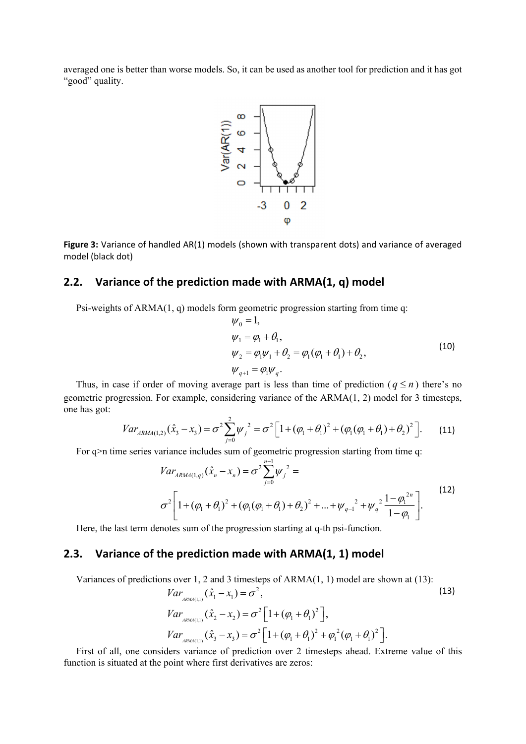averaged one is better than worse models. So, it can be used as another tool for prediction and it has got "good" quality.



**Figure 3:** Variance of handled AR(1) models (shown with transparent dots) and variance of averaged model (black dot)

#### **2.2. Variance of the prediction made with ARMA(1, q) model**

Psi-weights of  $ARMA(1, q)$  models form geometric progression starting from time q:

$$
\psi_0 = 1,\n\psi_1 = \varphi_1 + \theta_1,\n\psi_2 = \varphi_1 \psi_1 + \theta_2 = \varphi_1 (\varphi_1 + \theta_1) + \theta_2,
$$
\n(10)  
\n
$$
\psi_{q+1} = \varphi_1 \psi_q.
$$

Thus, in case if order of moving average part is less than time of prediction ( $q \le n$ ) there's no geometric progression. For example, considering variance of the ARMA(1, 2) model for 3 timesteps, one has got:

$$
Var_{ARMA(1,2)}(\hat{x}_3 - x_3) = \sigma^2 \sum_{j=0}^{2} \psi_j^2 = \sigma^2 \Big[ 1 + (\varphi_1 + \theta_1)^2 + (\varphi_1(\varphi_1 + \theta_1) + \theta_2)^2 \Big].
$$
 (11)

For q>n time series variance includes sum of geometric progression starting from time q:

$$
Var_{ARMA(1,q)}(\hat{x}_n - x_n) = \sigma^2 \sum_{j=0}^{n-1} \psi_j^2 =
$$
  

$$
\sigma^2 \left[ 1 + (\varphi_1 + \theta_1)^2 + (\varphi_1(\varphi_1 + \theta_1) + \theta_2)^2 + ... + \psi_{q-1}^2 + \psi_q^2 \frac{1 - \varphi_1^{2n}}{1 - \varphi_1} \right].
$$
 (12)

Here, the last term denotes sum of the progression starting at q-th psi-function.

## **2.3. Variance of the prediction made with ARMA(1, 1) model**

Variances of predictions over 1, 2 and 3 timesteps of ARMA(1, 1) model are shown at (13):

ns over 1, 2 and 3 timesteps of ARMA(1, 1) model are shown at (13):  
\n
$$
Var_{ABMA(1,1)}(\hat{x}_1 - x_1) = \sigma^2,
$$
\n(13)  
\n
$$
Var_{ABMA(1,1)}(\hat{x}_2 - x_2) = \sigma^2 \left[1 + (\varphi_1 + \theta_1)^2\right],
$$
\n
$$
Var_{ABMA(1,1)}(\hat{x}_3 - x_3) = \sigma^2 \left[1 + (\varphi_1 + \theta_1)^2 + \varphi_1^2(\varphi_1 + \theta_1)^2\right].
$$

First of all, one considers variance of prediction over 2 timesteps ahead. Extreme value of this function is situated at the point where first derivatives are zeros: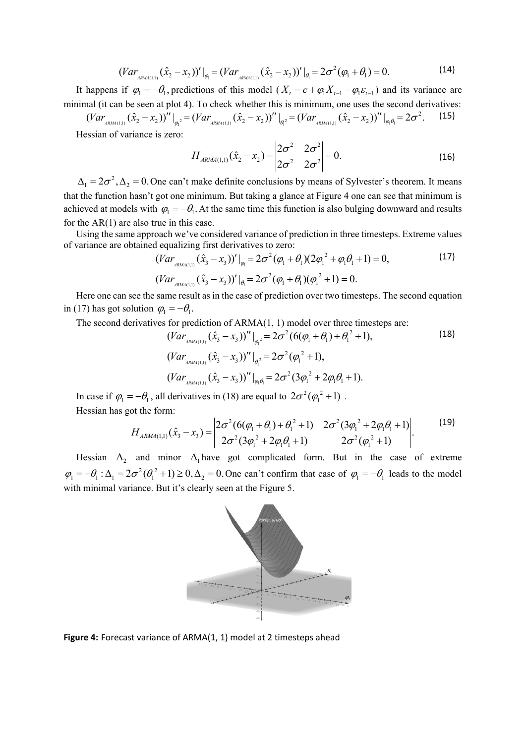$$
(Var_{ARMA(1,1)}(\hat{x}_2 - x_2))' \big|_{\varphi_1} = (Var_{ARMA(1,1)}(\hat{x}_2 - x_2))' \big|_{\theta_1} = 2\sigma^2(\varphi_1 + \theta_1) = 0.
$$
 (14)

It happens if  $\varphi_1 = -\theta_1$ , predictions of this model ( $X_t = c + \varphi_1 X_{t-1} - \varphi_1 \varepsilon_{t-1}$ ) and its variance are minimal (it can be seen at plot 4). To check whether this is minimum, one uses the second derivatives:

 $(Var_{RMA(1,1)}(\hat{x}_2 - x_2))''|_{\varphi_1} = (Var_{RRMA(1,1)}(\hat{x}_2 - x_2))''|_{\varphi_1} = (Var_{RRMA(1,1)}(\hat{x}_2 - x_2))''|_{\varphi_1 \varphi_1} = 2\sigma^2.$  (15)

Hessian of variance is zero:

$$
H_{ARMA(1,1)}(\hat{x}_2 - x_2) = \begin{vmatrix} 2\sigma^2 & 2\sigma^2 \\ 2\sigma^2 & 2\sigma^2 \end{vmatrix} = 0.
$$
 (16)

 $\Delta_1 = 2\sigma^2$ ,  $\Delta_2 = 0$ . One can't make definite conclusions by means of Sylvester's theorem. It means that the function hasn't got one minimum. But taking a glance at Figure 4 one can see that minimum is achieved at models with  $\varphi_1 = -\theta_1$ . At the same time this function is also bulging downward and results for the AR(1) are also true in this case.

Using the same approach we've considered variance of prediction in three timesteps. Extreme values of variance are obtained equalizing first derivatives to zero:

$$
(Var_{ABM4(1,1)}(\hat{x}_3 - x_3))' \big|_{\varphi_1} = 2\sigma^2 (\varphi_1 + \theta_1)(2\varphi_1^2 + \varphi_1 \theta_1 + 1) = 0,
$$
\n
$$
(Var_{ABM4(1,1)}(\hat{x}_3 - x_3))' \big|_{\theta_1} = 2\sigma^2 (\varphi_1 + \theta_1)(\varphi_1^2 + 1) = 0.
$$
\n
$$
(17)
$$

Here one can see the same result as in the case of prediction over two timesteps. The second equation in (17) has got solution  $\varphi_1 = -\theta_1$ .

The second derivatives for prediction of ARMA(1, 1) model over three timesteps are:

$$
(Var_{ABM(1,1)}(\hat{x}_3 - x_3))''|_{\varphi_1^2} = 2\sigma^2(6(\varphi_1 + \theta_1) + \theta_1^2 + 1),
$$
\n
$$
(Var_{ABM(1,1)}(\hat{x}_3 - x_3))''|_{\varphi_1^2} = 2\sigma^2(\varphi_1^2 + 1),
$$
\n
$$
(Var_{ABM(1,1)}(\hat{x}_3 - x_3))''|_{\varphi_1\varphi_1^2} = 2\sigma^2(3\varphi_1^2 + 2\varphi_1\theta_1 + 1).
$$
\n(18)

In case if  $\varphi_1 = -\theta_1$ , all derivatives in (18) are equal to  $2\sigma^2(\varphi_1^2 + 1)$ . Hessian has got the form:

$$
H_{ARMA(1,1)}(\hat{x}_3 - x_3) = \begin{vmatrix} 2\sigma^2 (6(\varphi_1 + \theta_1) + \theta_1^2 + 1) & 2\sigma^2 (3\varphi_1^2 + 2\varphi_1\theta_1 + 1) \\ 2\sigma^2 (3\varphi_1^2 + 2\varphi_1\theta_1 + 1) & 2\sigma^2 (\varphi_1^2 + 1) \end{vmatrix}.
$$
 (19)

Hessian  $\Delta_2$  and minor  $\Delta_1$  have got complicated form. But in the case of extreme  $\varphi_1 = -\theta_1$ :  $\Delta_1 = 2\sigma^2(\theta_1^2 + 1) \ge 0$ ,  $\Delta_2 = 0$ . One can't confirm that case of  $\varphi_1 = -\theta_1$  leads to the model with minimal variance. But it's clearly seen at the Figure 5.



**Figure 4:** Forecast variance of ARMA(1, 1) model at 2 timesteps ahead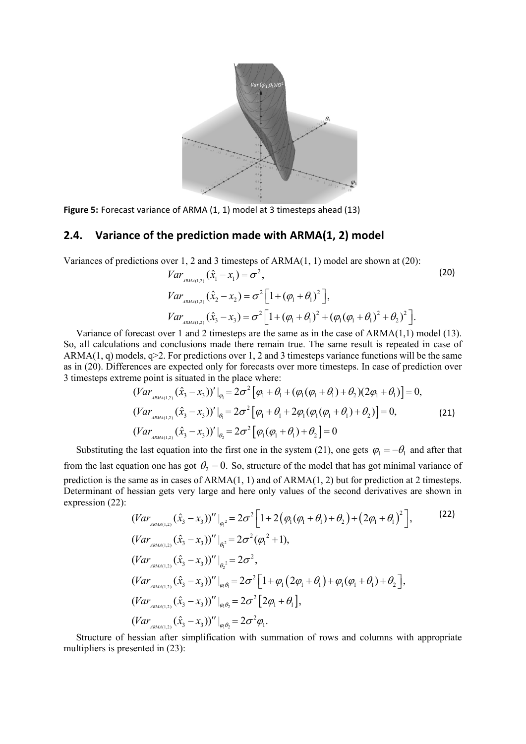

**Figure 5:** Forecast variance of ARMA (1, 1) model at 3 timesteps ahead (13)

#### **2.4. Variance of the prediction made with ARMA(1, 2) model**

Variances of predictions over 1, 2 and 3 timesteps of ARMA(1, 1) model are shown at (20):

$$
Var_{A_{RMA(1,2)}}(\hat{x}_1 - x_1) = \sigma^2,
$$
\n
$$
Var_{A_{RMA(1,2)}}(\hat{x}_2 - x_2) = \sigma^2 \left[1 + (\varphi_1 + \theta_1)^2\right],
$$
\n
$$
Var_{A_{RMA(1,2)}}(\hat{x}_3 - x_3) = \sigma^2 \left[1 + (\varphi_1 + \theta_1)^2 + (\varphi_1(\varphi_1 + \theta_1)^2 + \theta_2)^2\right].
$$
\n(20)

Variance of forecast over 1 and 2 timesteps are the same as in the case of ARMA(1,1) model (13). So, all calculations and conclusions made there remain true. The same result is repeated in case of ARMA(1, q) models,  $q>2$ . For predictions over 1, 2 and 3 timesteps variance functions will be the same as in (20). Differences are expected only for forecasts over more timesteps. In case of prediction over 3 timesteps extreme point is situated in the place where:

$$
(Var_{ABMA(1,2)}(\hat{x}_3 - x_3))' \big|_{\varphi_1} = 2\sigma^2 \big[ \varphi_1 + \theta_1 + (\varphi_1(\varphi_1 + \theta_1) + \theta_2)(2\varphi_1 + \theta_1) \big] = 0,
$$
  
\n
$$
(Var_{ABMA(1,2)}(\hat{x}_3 - x_3))' \big|_{\theta_1} = 2\sigma^2 \big[ \varphi_1 + \theta_1 + 2\varphi_1(\varphi_1(\varphi_1 + \theta_1) + \theta_2) \big] = 0,
$$
  
\n
$$
(Var_{ABMA(1,2)}(\hat{x}_3 - x_3))' \big|_{\theta_2} = 2\sigma^2 \big[ \varphi_1(\varphi_1 + \theta_1) + \theta_2 \big] = 0
$$
\n(21)

Substituting the last equation into the first one in the system (21), one gets  $\varphi_1 = -\theta_1$  and after that from the last equation one has got  $\theta_2 = 0$ . So, structure of the model that has got minimal variance of prediction is the same as in cases of ARMA(1, 1) and of ARMA(1, 2) but for prediction at 2 timesteps. Determinant of hessian gets very large and here only values of the second derivatives are shown in expression (22):

$$
(Var_{ARMA(1,2)}(\hat{x}_3 - x_3))''|_{\varphi_1^2} = 2\sigma^2 \left[1 + 2(\varphi_1(\varphi_1 + \theta_1) + \theta_2) + (2\varphi_1 + \theta_1)^2\right],
$$
\n
$$
(Var_{ARMA(1,2)}(\hat{x}_3 - x_3))''|_{\varphi_1^2} = 2\sigma^2(\varphi_1^2 + 1),
$$
\n
$$
(Var_{ARMA(1,2)}(\hat{x}_3 - x_3))''|_{\varphi_2^2} = 2\sigma^2,
$$
\n
$$
(Var_{ARMA(1,2)}(\hat{x}_3 - x_3))''|_{\varphi_1\varphi_1^2} = 2\sigma^2 \left[1 + \varphi_1(2\varphi_1 + \theta_1) + \varphi_1(\varphi_1 + \theta_1) + \theta_2\right],
$$
\n
$$
(Var_{ARMA(1,2)}(\hat{x}_3 - x_3))''|_{\varphi_1\varphi_2^2} = 2\sigma^2 \left[2\varphi_1 + \theta_1\right],
$$
\n
$$
(Var_{ARMA(1,2)}(\hat{x}_3 - x_3))''|_{\varphi_1\varphi_2^2} = 2\sigma^2 \varphi_1.
$$
\n
$$
(Var_{ARMA(1,2)}(\hat{x}_3 - x_3))''|_{\varphi_1\varphi_2^2} = 2\sigma^2 \varphi_1.
$$
\n
$$
(Var_{ARMA(1,2)}(\hat{x}_3 - x_3))''|_{\varphi_1\varphi_2^2} = 2\sigma^2 \varphi_1.
$$
\n
$$
(Var_{ARMA(1,2)}(\hat{x}_3 - x_3))''|_{\varphi_1\varphi_2^2} = 2\sigma^2 \varphi_1.
$$
\n
$$
(Var_{ARMA(1,2)}(\hat{x}_3 - x_3))''|_{\varphi_1\varphi_2^2} = 2\sigma^2 \varphi_1.
$$
\n
$$
(Var_{ARMA(1,2)}(\hat{x}_3 - x_3))''|_{\varphi_1\varphi_2^2} = 2\sigma^2 \varphi_1.
$$
\n
$$
(Var_{ARMA(1,2)}(\hat{x}_3 - x_3))''|_{\varphi_1\varphi_2^2} =
$$

Structure of hessian after simplification with summation of rows and columns with appropriate multipliers is presented in (23):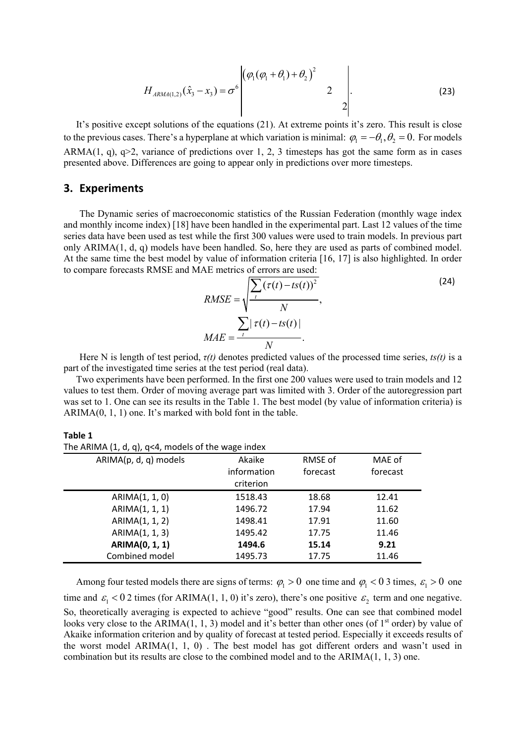$$
H_{ARMA(1,2)}(\hat{x}_3 - x_3) = \sigma^6 \begin{bmatrix} (\varphi_1(\varphi_1 + \theta_1) + \theta_2)^2 & 2 \\ 0 & 2 \end{bmatrix}.
$$
 (23)

It's positive except solutions of the equations (21). At extreme points it's zero. This result is close to the previous cases. There's a hyperplane at which variation is minimal:  $\varphi_1 = -\theta_1, \theta_2 = 0$ . For models ARMA(1, q), q>2, variance of predictions over 1, 2, 3 timesteps has got the same form as in cases presented above. Differences are going to appear only in predictions over more timesteps.

## **3. Experiments**

The Dynamic series of macroeconomic statistics of the Russian Federation (monthly wage index and monthly income index) [18] have been handled in the experimental part. Last 12 values of the time series data have been used as test while the first 300 values were used to train models. In previous part only ARIMA(1, d, q) models have been handled. So, here they are used as parts of combined model. At the same time the best model by value of information criteria [16, 17] is also highlighted. In order to compare forecasts RMSE and MAE metrics of errors are used:

$$
RMSE = \sqrt{\frac{\sum_{t} (\tau(t) - ts(t))^2}{N}},
$$
\n
$$
MAE = \frac{\sum_{t} |\tau(t) - ts(t)|}{N}.
$$
\n(24)

Here N is length of test period, *τ(t)* denotes predicted values of the processed time series, *ts(t)* is a part of the investigated time series at the test period (real data).

Two experiments have been performed. In the first one 200 values were used to train models and 12 values to test them. Order of moving average part was limited with 3. Order of the autoregression part was set to 1. One can see its results in the Table 1. The best model (by value of information criteria) is ARIMA(0, 1, 1) one. It's marked with bold font in the table.

**Table 1** The ARIMA  $(1, d, a)$ ,  $\alpha \leq 4$ , models of the wage index

| ARIMA(p, d, q) models | Akaike      | RMSE of  | MAE of   |
|-----------------------|-------------|----------|----------|
|                       | information | forecast | forecast |
|                       | criterion   |          |          |
| ARIMA(1, 1, 0)        | 1518.43     | 18.68    | 12.41    |
| ARIMA(1, 1, 1)        | 1496.72     | 17.94    | 11.62    |
| ARIMA(1, 1, 2)        | 1498.41     | 17.91    | 11.60    |
| ARIMA(1, 1, 3)        | 1495.42     | 17.75    | 11.46    |
| <b>ARIMA(0, 1, 1)</b> | 1494.6      | 15.14    | 9.21     |
| Combined model        | 1495.73     | 17.75    | 11.46    |

Among four tested models there are signs of terms:  $\varphi_1 > 0$  one time and  $\varphi_1 < 0$  3 times,  $\varepsilon_1 > 0$  one time and  $\epsilon_1 < 0$  2 times (for ARIMA(1, 1, 0) it's zero), there's one positive  $\epsilon_2$  term and one negative. So, theoretically averaging is expected to achieve "good" results. One can see that combined model looks very close to the ARIMA(1, 1, 3) model and it's better than other ones (of  $1<sup>st</sup>$  order) by value of Akaike information criterion and by quality of forecast at tested period. Especially it exceeds results of the worst model ARIMA(1, 1, 0) . The best model has got different orders and wasn't used in combination but its results are close to the combined model and to the ARIMA(1, 1, 3) one.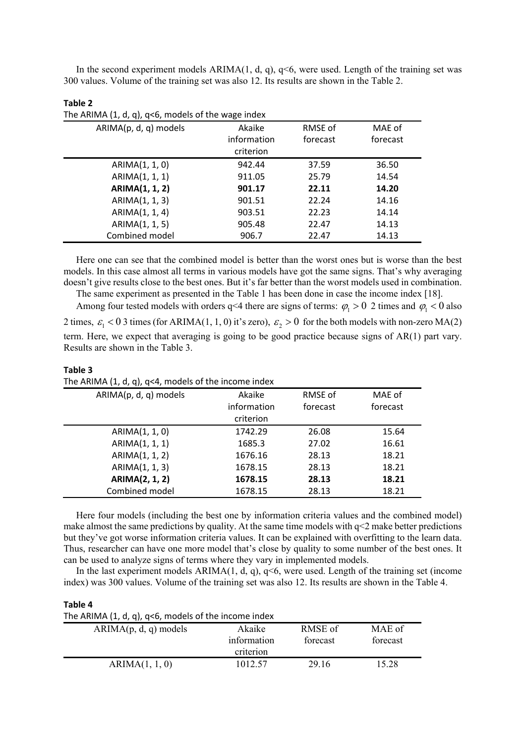In the second experiment models  $ARIMA(1, d, q)$ ,  $q<6$ , were used. Length of the training set was 300 values. Volume of the training set was also 12. Its results are shown in the Table 2.

| The ARIMA $(1, d, q)$ , $q0$ , models of the wage index |             |          |          |
|---------------------------------------------------------|-------------|----------|----------|
| ARIMA(p, d, q) models                                   | Akaike      | RMSE of  | MAE of   |
|                                                         | information | forecast | forecast |
|                                                         | criterion   |          |          |
| ARIMA(1, 1, 0)                                          | 942.44      | 37.59    | 36.50    |
| ARIMA(1, 1, 1)                                          | 911.05      | 25.79    | 14.54    |
| <b>ARIMA(1, 1, 2)</b>                                   | 901.17      | 22.11    | 14.20    |
| ARIMA(1, 1, 3)                                          | 901.51      | 22.24    | 14.16    |
| ARIMA(1, 1, 4)                                          | 903.51      | 22.23    | 14.14    |
| ARIMA(1, 1, 5)                                          | 905.48      | 22.47    | 14.13    |
| Combined model                                          | 906.7       | 22.47    | 14.13    |

| Table 2                                                  |  |
|----------------------------------------------------------|--|
| The ARIMA $(1, d, q)$ , $q<6$ , models of the wage index |  |

Here one can see that the combined model is better than the worst ones but is worse than the best models. In this case almost all terms in various models have got the same signs. That's why averaging doesn't give results close to the best ones. But it's far better than the worst models used in combination.

The same experiment as presented in the Table 1 has been done in case the income index [18]. Among four tested models with orders q<4 there are signs of terms:  $\varphi_1 > 0$  2 times and  $\varphi_1 < 0$  also 2 times,  $\varepsilon_1 < 0$  3 times (for ARIMA(1, 1, 0) it's zero),  $\varepsilon_2 > 0$  for the both models with non-zero MA(2) term. Here, we expect that averaging is going to be good practice because signs of AR(1) part vary. Results are shown in the Table 3.

| The ARIMA $(1, d, q)$ , $q$ <4, models of the income index |          |          |
|------------------------------------------------------------|----------|----------|
| Akaike                                                     | RMSE of  | MAE of   |
| information                                                | forecast | forecast |
| criterion                                                  |          |          |
| 1742.29                                                    | 26.08    | 15.64    |
| 1685.3                                                     | 27.02    | 16.61    |
| 1676.16                                                    | 28.13    | 18.21    |
| 1678.15                                                    | 28.13    | 18.21    |
| 1678.15                                                    | 28.13    | 18.21    |
| 1678.15                                                    | 28.13    | 18.21    |
|                                                            |          |          |

| Table 3                                                    |  |
|------------------------------------------------------------|--|
| The ARIMA $(1, d, q)$ , $q<4$ , models of the income index |  |

Here four models (including the best one by information criteria values and the combined model) make almost the same predictions by quality. At the same time models with q<2 make better predictions but they've got worse information criteria values. It can be explained with overfitting to the learn data. Thus, researcher can have one more model that's close by quality to some number of the best ones. It can be used to analyze signs of terms where they vary in implemented models.

In the last experiment models  $ARIMA(1, d, q)$ ,  $q<6$ , were used. Length of the training set (income index) was 300 values. Volume of the training set was also 12. Its results are shown in the Table 4.

#### **Table 4**

| The ARIMA $(1, d, q)$ , $q<6$ , models of the income index |  |  |  |  |  |
|------------------------------------------------------------|--|--|--|--|--|
|------------------------------------------------------------|--|--|--|--|--|

| .                       |                                    |                     |                    |
|-------------------------|------------------------------------|---------------------|--------------------|
| $ARIMA(p, d, q)$ models | Akaike<br>information<br>criterion | RMSE of<br>forecast | MAE of<br>forecast |
| ARIMA(1, 1, 0)          | 1012.57                            | 29.16               | 15.28              |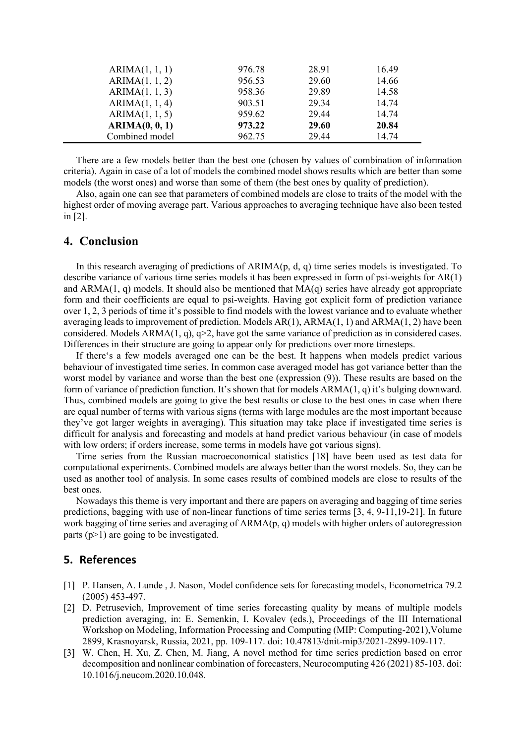| ARIMA(1, 1, 1) | 976.78 | 28.91        | 16.49 |
|----------------|--------|--------------|-------|
| ARIMA(1, 1, 2) | 956.53 | 29.60        | 14.66 |
| ARIMA(1, 1, 3) | 958.36 | 29.89        | 14.58 |
| ARIMA(1, 1, 4) | 903.51 | 29.34        | 14.74 |
| ARIMA(1, 1, 5) | 959.62 | 29.44        | 14.74 |
| ARIMA(0, 0, 1) | 973.22 | <b>29.60</b> | 20.84 |
| Combined model | 962.75 | 29.44        | 14.74 |

There are a few models better than the best one (chosen by values of combination of information criteria). Again in case of a lot of models the combined model shows results which are better than some models (the worst ones) and worse than some of them (the best ones by quality of prediction).

Also, again one can see that parameters of combined models are close to traits of the model with the highest order of moving average part. Various approaches to averaging technique have also been tested in [2].

## **4. Conclusion**

In this research averaging of predictions of  $ARIMA(p, d, q)$  time series models is investigated. To describe variance of various time series models it has been expressed in form of psi-weights for AR(1) and  $ARMA(1, q)$  models. It should also be mentioned that  $MA(q)$  series have already got appropriate form and their coefficients are equal to psi-weights. Having got explicit form of prediction variance over 1, 2, 3 periods of time it's possible to find models with the lowest variance and to evaluate whether averaging leads to improvement of prediction. Models  $AR(1)$ ,  $ARMA(1, 1)$  and  $ARMA(1, 2)$  have been considered. Models ARMA(1, q), q>2, have got the same variance of prediction as in considered cases. Differences in their structure are going to appear only for predictions over more timesteps.

If there's a few models averaged one can be the best. It happens when models predict various behaviour of investigated time series. In common case averaged model has got variance better than the worst model by variance and worse than the best one (expression (9)). These results are based on the form of variance of prediction function. It's shown that for models ARMA(1, q) it's bulging downward. Thus, combined models are going to give the best results or close to the best ones in case when there are equal number of terms with various signs (terms with large modules are the most important because they've got larger weights in averaging). This situation may take place if investigated time series is difficult for analysis and forecasting and models at hand predict various behaviour (in case of models with low orders; if orders increase, some terms in models have got various signs).

Time series from the Russian macroeconomical statistics [18] have been used as test data for computational experiments. Combined models are always better than the worst models. So, they can be used as another tool of analysis. In some cases results of combined models are close to results of the best ones.

Nowadays this theme is very important and there are papers on averaging and bagging of time series predictions, bagging with use of non-linear functions of time series terms [3, 4, 9-11,19-21]. In future work bagging of time series and averaging of ARMA(p, q) models with higher orders of autoregression parts  $(p>1)$  are going to be investigated.

#### **5. References**

- [1] P. Hansen, A. Lunde , J. Nason, Model confidence sets for forecasting models, Econometrica 79.2 (2005) 453-497.
- [2] D. Petrusevich, Improvement of time series forecasting quality by means of multiple models prediction averaging, in: E. Semenkin, I. Kovalev (eds.), Proceedings of the III International Workshop on Modeling, Information Processing and Computing (MIP: Computing-2021),Volume 2899, Krasnoyarsk, Russia, 2021, pp. 109-117. doi: 10.47813/dnit-mip3/2021-2899-109-117.
- [3] W. Chen, H. Xu, Z. Chen, M. Jiang, A novel method for time series prediction based on error decomposition and nonlinear combination of forecasters, Neurocomputing 426 (2021) 85-103. doi: 10.1016/j.neucom.2020.10.048.